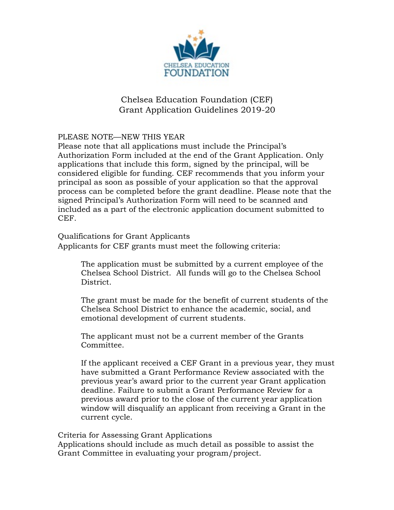

## Chelsea Education Foundation (CEF) Grant Application Guidelines 2019-20

## PLEASE NOTE—NEW THIS YEAR

Please note that all applications must include the Principal's Authorization Form included at the end of the Grant Application. Only applications that include this form, signed by the principal, will be considered eligible for funding. CEF recommends that you inform your principal as soon as possible of your application so that the approval process can be completed before the grant deadline. Please note that the signed Principal's Authorization Form will need to be scanned and included as a part of the electronic application document submitted to CEF.

Qualifications for Grant Applicants

Applicants for CEF grants must meet the following criteria:

The application must be submitted by a current employee of the Chelsea School District. All funds will go to the Chelsea School District.

The grant must be made for the benefit of current students of the Chelsea School District to enhance the academic, social, and emotional development of current students.

The applicant must not be a current member of the Grants Committee.

If the applicant received a CEF Grant in a previous year, they must have submitted a Grant Performance Review associated with the previous year's award prior to the current year Grant application deadline. Failure to submit a Grant Performance Review for a previous award prior to the close of the current year application window will disqualify an applicant from receiving a Grant in the current cycle.

Criteria for Assessing Grant Applications

Applications should include as much detail as possible to assist the Grant Committee in evaluating your program/project.